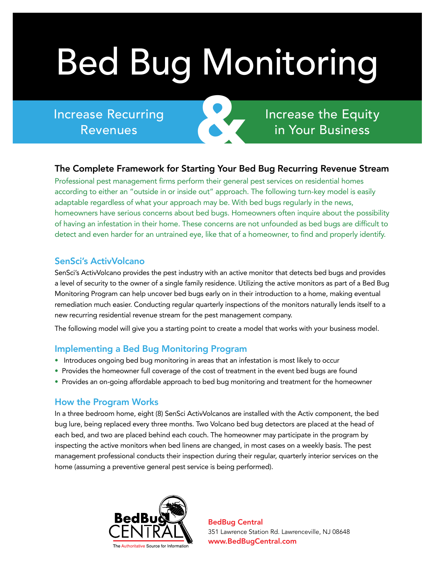# Bed Bug Monitoring

Increase Recurring Revenues

Increase the Equity in Your Business

#### The Complete Framework for Starting Your Bed Bug Recurring Revenue Stream

&

Professional pest management firms perform their general pest services on residential homes according to either an "outside in or inside out" approach. The following turn-key model is easily adaptable regardless of what your approach may be. With bed bugs regularly in the news, homeowners have serious concerns about bed bugs. Homeowners often inquire about the possibility of having an infestation in their home. These concerns are not unfounded as bed bugs are difficult to detect and even harder for an untrained eye, like that of a homeowner, to find and properly identify.

#### SenSci's ActivVolcano

SenSci's ActivVolcano provides the pest industry with an active monitor that detects bed bugs and provides a level of security to the owner of a single family residence. Utilizing the active monitors as part of a Bed Bug Monitoring Program can help uncover bed bugs early on in their introduction to a home, making eventual remediation much easier. Conducting regular quarterly inspections of the monitors naturally lends itself to a new recurring residential revenue stream for the pest management company.

The following model will give you a starting point to create a model that works with your business model.

#### Implementing a Bed Bug Monitoring Program

- Introduces ongoing bed bug monitoring in areas that an infestation is most likely to occur
- Provides the homeowner full coverage of the cost of treatment in the event bed bugs are found
- Provides an on-going affordable approach to bed bug monitoring and treatment for the homeowner

#### How the Program Works

In a three bedroom home, eight (8) SenSci ActivVolcanos are installed with the Activ component, the bed bug lure, being replaced every three months. Two Volcano bed bug detectors are placed at the head of each bed, and two are placed behind each couch. The homeowner may participate in the program by inspecting the active monitors when bed linens are changed, in most cases on a weekly basis. The pest management professional conducts their inspection during their regular, quarterly interior services on the home (assuming a preventive general pest service is being performed).



BedBug Central 351 Lawrence Station Rd. Lawrenceville, NJ 08648 ® www.BedBugCentral.com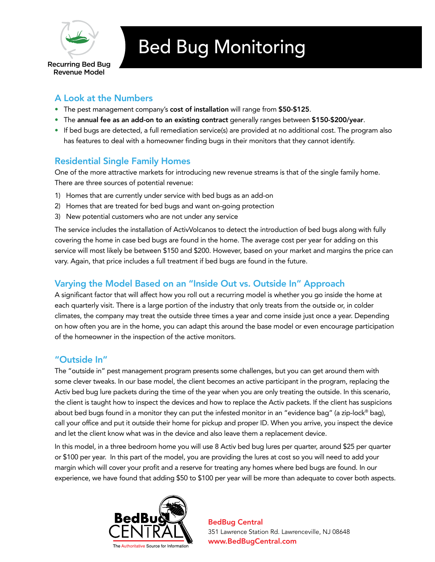

# Bed Bug Monitoring

Recurring Bed Bug Revenue Model

# A Look at the Numbers

- The pest management company's cost of installation will range from \$50-\$125.
- The annual fee as an add-on to an existing contract generally ranges between \$150-\$200/year.
- If bed bugs are detected, a full remediation service(s) are provided at no additional cost. The program also has features to deal with a homeowner finding bugs in their monitors that they cannot identify.

### Residential Single Family Homes

One of the more attractive markets for introducing new revenue streams is that of the single family home. There are three sources of potential revenue:

- 1) Homes that are currently under service with bed bugs as an add-on
- 2) Homes that are treated for bed bugs and want on-going protection
- 3) New potential customers who are not under any service

The service includes the installation of ActivVolcanos to detect the introduction of bed bugs along with fully covering the home in case bed bugs are found in the home. The average cost per year for adding on this service will most likely be between \$150 and \$200. However, based on your market and margins the price can vary. Again, that price includes a full treatment if bed bugs are found in the future.

### Varying the Model Based on an "Inside Out vs. Outside In" Approach

A significant factor that will affect how you roll out a recurring model is whether you go inside the home at each quarterly visit. There is a large portion of the industry that only treats from the outside or, in colder climates, the company may treat the outside three times a year and come inside just once a year. Depending on how often you are in the home, you can adapt this around the base model or even encourage participation of the homeowner in the inspection of the active monitors.

### "Outside In"

The "outside in" pest management program presents some challenges, but you can get around them with some clever tweaks. In our base model, the client becomes an active participant in the program, replacing the Activ bed bug lure packets during the time of the year when you are only treating the outside. In this scenario, the client is taught how to inspect the devices and how to replace the Activ packets. If the client has suspicions about bed bugs found in a monitor they can put the infested monitor in an "evidence bag" (a zip-lock® bag), call your office and put it outside their home for pickup and proper ID. When you arrive, you inspect the device and let the client know what was in the device and also leave them a replacement device.

In this model, in a three bedroom home you will use 8 Activ bed bug lures per quarter, around \$25 per quarter or \$100 per year. In this part of the model, you are providing the lures at cost so you will need to add your margin which will cover your profit and a reserve for treating any homes where bed bugs are found. In our experience, we have found that adding \$50 to \$100 per year will be more than adequate to cover both aspects.



BedBug Central 351 Lawrence Station Rd. Lawrenceville, NJ 08648 ® www.BedBugCentral.com